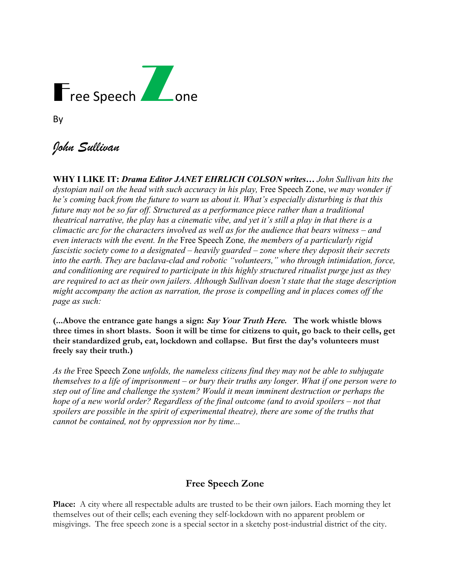

| ۰.<br>۰. |  |
|----------|--|
|----------|--|

# *John Sullivan*

**WHY I LIKE IT:** *Drama Editor JANET EHRLICH COLSON writes… John Sullivan hits the dystopian nail on the head with such accuracy in his play,* Free Speech Zone, *we may wonder if he's coming back from the future to warn us about it. What's especially disturbing is that this future may not be so far off. Structured as a performance piece rather than a traditional theatrical narrative, the play has a cinematic vibe, and yet it's still a play in that there is a climactic arc for the characters involved as well as for the audience that bears witness – and even interacts with the event. In the* Free Speech Zone*, the members of a particularly rigid fascistic society come to a designated – heavily guarded – zone where they deposit their secrets into the earth. They are baclava-clad and robotic "volunteers," who through intimidation, force, and conditioning are required to participate in this highly structured ritualist purge just as they are required to act as their own jailers. Although Sullivan doesn't state that the stage description might accompany the action as narration, the prose is compelling and in places comes off the page as such:* 

**(...Above the entrance gate hangs a sign: Say Your Truth Here. The work whistle blows three times in short blasts. Soon it will be time for citizens to quit, go back to their cells, get their standardized grub, eat, lockdown and collapse. But first the day's volunteers must freely say their truth.)**

*As the* Free Speech Zone *unfolds, the nameless citizens find they may not be able to subjugate themselves to a life of imprisonment – or bury their truths any longer. What if one person were to step out of line and challenge the system? Would it mean imminent destruction or perhaps the hope of a new world order? Regardless of the final outcome (and to avoid spoilers – not that spoilers are possible in the spirit of experimental theatre), there are some of the truths that cannot be contained, not by oppression nor by time...*

## **Free Speech Zone**

**Place:** A city where all respectable adults are trusted to be their own jailors. Each morning they let themselves out of their cells; each evening they self-lockdown with no apparent problem or misgivings. The free speech zone is a special sector in a sketchy post-industrial district of the city.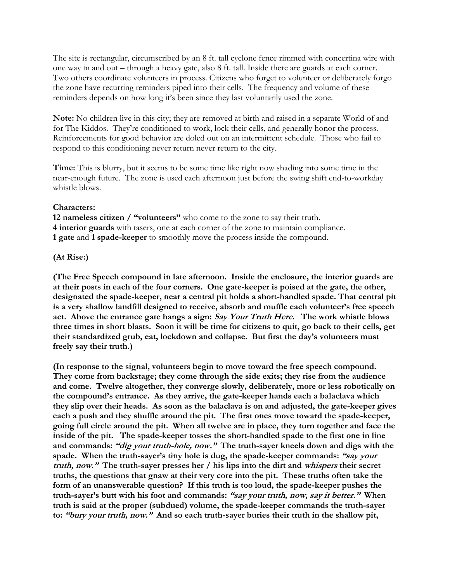The site is rectangular, circumscribed by an 8 ft. tall cyclone fence rimmed with concertina wire with one way in and out – through a heavy gate, also 8 ft. tall. Inside there are guards at each corner. Two others coordinate volunteers in process. Citizens who forget to volunteer or deliberately forgo the zone have recurring reminders piped into their cells. The frequency and volume of these reminders depends on how long it's been since they last voluntarily used the zone.

**Note:** No children live in this city; they are removed at birth and raised in a separate World of and for The Kiddos. They're conditioned to work, lock their cells, and generally honor the process. Reinforcements for good behavior are doled out on an intermittent schedule. Those who fail to respond to this conditioning never return never return to the city.

**Time:** This is blurry, but it seems to be some time like right now shading into some time in the near-enough future. The zone is used each afternoon just before the swing shift end-to-workday whistle blows.

#### **Characters:**

**12 nameless citizen / "volunteers"** who come to the zone to say their truth. **4 interior guards** with tasers, one at each corner of the zone to maintain compliance. **1 gate** and **1 spade-keeper** to smoothly move the process inside the compound.

#### **(At Rise:)**

**(The Free Speech compound in late afternoon. Inside the enclosure, the interior guards are at their posts in each of the four corners. One gate-keeper is poised at the gate, the other, designated the spade-keeper, near a central pit holds a short-handled spade. That central pit is a very shallow landfill designed to receive, absorb and muffle each volunteer's free speech act. Above the entrance gate hangs a sign: Say Your Truth Here. The work whistle blows three times in short blasts. Soon it will be time for citizens to quit, go back to their cells, get their standardized grub, eat, lockdown and collapse. But first the day's volunteers must freely say their truth.)**

**(In response to the signal, volunteers begin to move toward the free speech compound. They come from backstage; they come through the side exits; they rise from the audience and come. Twelve altogether, they converge slowly, deliberately, more or less robotically on the compound's entrance. As they arrive, the gate-keeper hands each a balaclava which they slip over their heads. As soon as the balaclava is on and adjusted, the gate-keeper gives each a push and they shuffle around the pit. The first ones move toward the spade-keeper, going full circle around the pit. When all twelve are in place, they turn together and face the inside of the pit. The spade-keeper tosses the short-handled spade to the first one in line and commands: "dig your truth-hole, now." The truth-sayer kneels down and digs with the spade. When the truth-sayer's tiny hole is dug, the spade-keeper commands: "say your truth, now." The truth-sayer presses her / his lips into the dirt and whispers their secret truths, the questions that gnaw at their very core into the pit. These truths often take the form of an unanswerable question? If this truth is too loud, the spade-keeper pushes the truth-sayer's butt with his foot and commands: "say your truth, now, say it better." When truth is said at the proper (subdued) volume, the spade-keeper commands the truth-sayer to: "bury your truth, now." And so each truth-sayer buries their truth in the shallow pit,**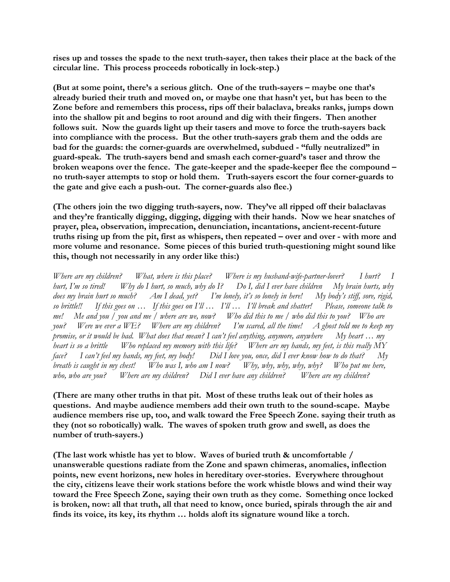**rises up and tosses the spade to the next truth-sayer, then takes their place at the back of the circular line. This process proceeds robotically in lock-step.)**

**(But at some point, there's a serious glitch. One of the truth-sayers – maybe one that's already buried their truth and moved on, or maybe one that hasn't yet, but has been to the Zone before and remembers this process, rips off their balaclava, breaks ranks, jumps down into the shallow pit and begins to root around and dig with their fingers. Then another follows suit. Now the guards light up their tasers and move to force the truth-sayers back into compliance with the process. But the other truth-sayers grab them and the odds are bad for the guards: the corner-guards are overwhelmed, subdued - "fully neutralized" in guard-speak. The truth-sayers bend and smash each corner-guard's taser and throw the broken weapons over the fence. The gate-keeper and the spade-keeper flee the compound – no truth-sayer attempts to stop or hold them. Truth-sayers escort the four corner-guards to the gate and give each a push-out. The corner-guards also flee.)**

**(The others join the two digging truth-sayers, now. They've all ripped off their balaclavas and they're frantically digging, digging, digging with their hands. Now we hear snatches of prayer, plea, observation, imprecation, denunciation, incantations, ancient-recent-future truths rising up from the pit, first as whispers, then repeated – over and over - with more and more volume and resonance. Some pieces of this buried truth-questioning might sound like this, though not necessarily in any order like this:)**

*Where are my children? What, where is this place? Where is my husband-wife-partner-lover? I hurt? I hurt, I'm so tired! Why do I hurt, so much, why do I? Do I, did I ever have children My brain hurts, why does my brain hurt so much? Am I dead, yet? I'm lonely, it's so lonely in here! My body's stiff, sore, rigid, so brittle!! If this goes on … If this goes on I'll … I'll … I'll break and shatter! Please, someone talk to me! Me and you / you and me / where are we, now? Who did this to me / who did this to you? Who are you? Were we ever a WE? Where are my children? I'm scared, all the time! A ghost told me to keep my promise, or it would be bad. What does that mean? I can't feel anything, anymore, anywhere My heart … my heart is so a brittle Who replaced my memory with this life? Where are my hands, my feet, is this really MY face? I can't feel my hands, my feet, my body! Did I love you, once, did I ever know how to do that? My breath is caught in my chest! Who was I, who am I now? Why, why, why, why, why? Who put me here, who, who are you? Where are my children? Did I ever have any children? Where are my children?*

**(There are many other truths in that pit. Most of these truths leak out of their holes as questions. And maybe audience members add their own truth to the sound-scape. Maybe audience members rise up, too, and walk toward the Free Speech Zone. saying their truth as they (not so robotically) walk. The waves of spoken truth grow and swell, as does the number of truth-sayers.)**

**(The last work whistle has yet to blow. Waves of buried truth & uncomfortable / unanswerable questions radiate from the Zone and spawn chimeras, anomalies, inflection points, new event horizons, new holes in hereditary over-stories. Everywhere throughout the city, citizens leave their work stations before the work whistle blows and wind their way toward the Free Speech Zone, saying their own truth as they come. Something once locked is broken, now: all that truth, all that need to know, once buried, spirals through the air and finds its voice, its key, its rhythm … holds aloft its signature wound like a torch.**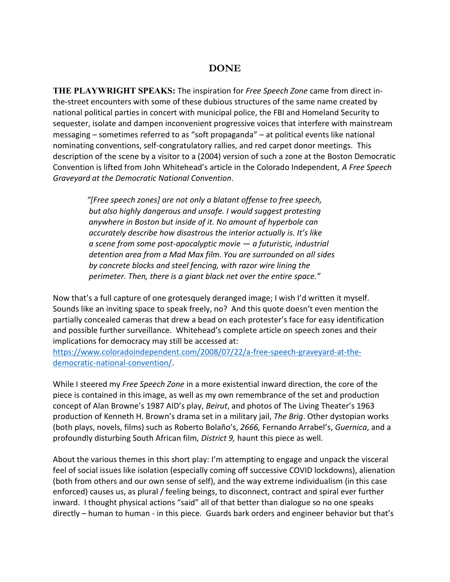### **DONE**

**THE PLAYWRIGHT SPEAKS:** The inspiration for *Free Speech Zone* came from direct inthe-street encounters with some of these dubious structures of the same name created by national political parties in concert with municipal police, the FBI and Homeland Security to sequester, isolate and dampen inconvenient progressive voices that interfere with mainstream messaging – sometimes referred to as "soft propaganda" – at political events like national nominating conventions, self-congratulatory rallies, and red carpet donor meetings. This description of the scene by a visitor to a (2004) version of such a zone at the Boston Democratic Convention is lifted from John Whitehead's article in the Colorado Independent, *A Free Speech Graveyard at the Democratic National Convention*.

> *"[Free speech zones] are not only a blatant offense to free speech, but also highly dangerous and unsafe. I would suggest protesting anywhere in Boston but inside of it. No amount of hyperbole can accurately describe how disastrous the interior actually is. It's like a scene from some post-apocalyptic movie — a futuristic, industrial detention area from a Mad Max film. You are surrounded on all sides by concrete blocks and steel fencing, with razor wire lining the perimeter. Then, there is a giant black net over the entire space."*

Now that's a full capture of one grotesquely deranged image; I wish I'd written it myself. Sounds like an inviting space to speak freely, no? And this quote doesn't even mention the partially concealed cameras that drew a bead on each protester's face for easy identification and possible further surveillance. Whitehead's complete article on speech zones and their implications for democracy may still be accessed at:

[https://www.coloradoindependent.com/2008/07/22/a-free-speech-graveyard-at-the](https://www.coloradoindependent.com/2008/07/22/a-free-speech-graveyard-at-the-democratic-national-convention/)[democratic-national-convention/.](https://www.coloradoindependent.com/2008/07/22/a-free-speech-graveyard-at-the-democratic-national-convention/)

While I steered my *Free Speech Zone* in a more existential inward direction, the core of the piece is contained in this image, as well as my own remembrance of the set and production concept of Alan Browne's 1987 AID's play, *Beirut*, and photos of The Living Theater's 1963 production of Kenneth H. Brown's drama set in a military jail, *The Brig*. Other dystopian works (both plays, novels, films) such as Roberto Bolaño's, *2666,* Fernando Arrabel's, *Guernica*, and a profoundly disturbing South African film*, District 9,* haunt this piece as well*.*

About the various themes in this short play: I'm attempting to engage and unpack the visceral feel of social issues like isolation (especially coming off successive COVID lockdowns), alienation (both from others and our own sense of self), and the way extreme individualism (in this case enforced) causes us, as plural / feeling beings, to disconnect, contract and spiral ever further inward. I thought physical actions "said" all of that better than dialogue so no one speaks directly – human to human - in this piece. Guards bark orders and engineer behavior but that's